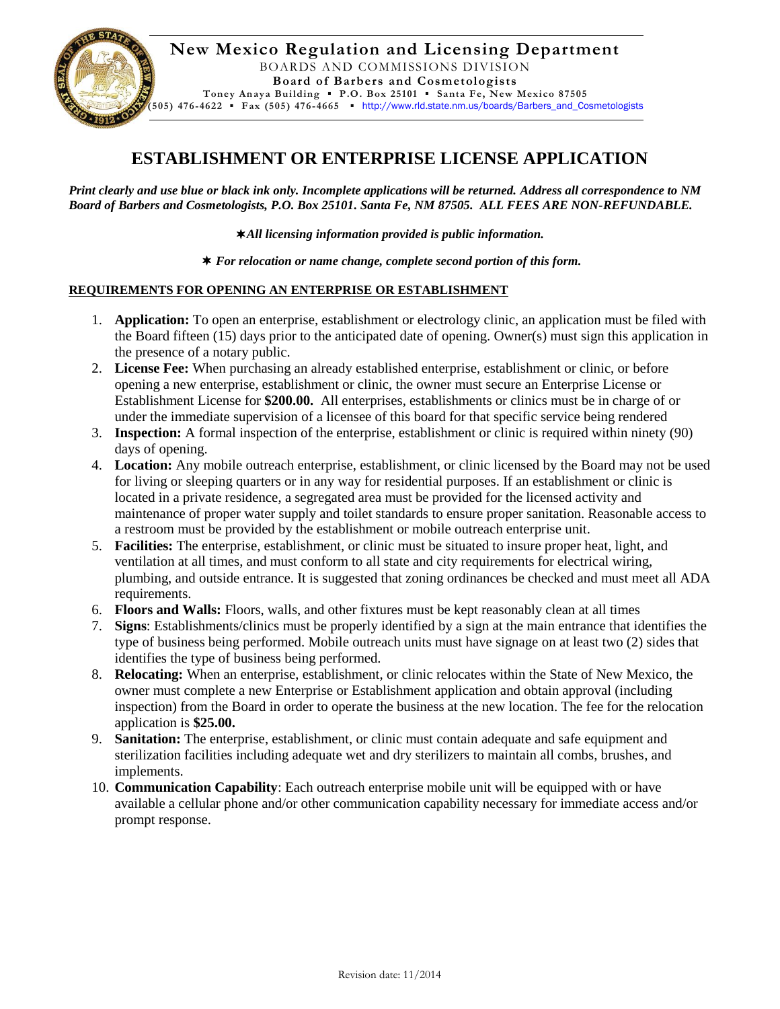

## **ESTABLISHMENT OR ENTERPRISE LICENSE APPLICATION**

*Print clearly and use blue or black ink only. Incomplete applications will be returned. Address all correspondence to NM Board of Barbers and Cosmetologists, P.O. Box 25101. Santa Fe, NM 87505. ALL FEES ARE NON-REFUNDABLE.*

*All licensing information provided is public information.*

*For relocation or name change, complete second portion of this form.*

## **REQUIREMENTS FOR OPENING AN ENTERPRISE OR ESTABLISHMENT**

- 1. **Application:** To open an enterprise, establishment or electrology clinic, an application must be filed with the Board fifteen (15) days prior to the anticipated date of opening. Owner(s) must sign this application in the presence of a notary public.
- 2. **License Fee:** When purchasing an already established enterprise, establishment or clinic, or before opening a new enterprise, establishment or clinic, the owner must secure an Enterprise License or Establishment License for **\$200.00.** All enterprises, establishments or clinics must be in charge of or under the immediate supervision of a licensee of this board for that specific service being rendered
- 3. **Inspection:** A formal inspection of the enterprise, establishment or clinic is required within ninety (90) days of opening.
- 4. **Location:** Any mobile outreach enterprise, establishment, or clinic licensed by the Board may not be used for living or sleeping quarters or in any way for residential purposes. If an establishment or clinic is located in a private residence, a segregated area must be provided for the licensed activity and maintenance of proper water supply and toilet standards to ensure proper sanitation. Reasonable access to a restroom must be provided by the establishment or mobile outreach enterprise unit.
- 5. **Facilities:** The enterprise, establishment, or clinic must be situated to insure proper heat, light, and ventilation at all times, and must conform to all state and city requirements for electrical wiring, plumbing, and outside entrance. It is suggested that zoning ordinances be checked and must meet all ADA requirements.
- 6. **Floors and Walls:** Floors, walls, and other fixtures must be kept reasonably clean at all times
- 7. **Signs**: Establishments/clinics must be properly identified by a sign at the main entrance that identifies the type of business being performed. Mobile outreach units must have signage on at least two (2) sides that identifies the type of business being performed.
- 8. **Relocating:** When an enterprise, establishment, or clinic relocates within the State of New Mexico, the owner must complete a new Enterprise or Establishment application and obtain approval (including inspection) from the Board in order to operate the business at the new location. The fee for the relocation application is **\$25.00.**
- 9. **Sanitation:** The enterprise, establishment, or clinic must contain adequate and safe equipment and sterilization facilities including adequate wet and dry sterilizers to maintain all combs, brushes, and implements.
- 10. **Communication Capability**: Each outreach enterprise mobile unit will be equipped with or have available a cellular phone and/or other communication capability necessary for immediate access and/or prompt response.